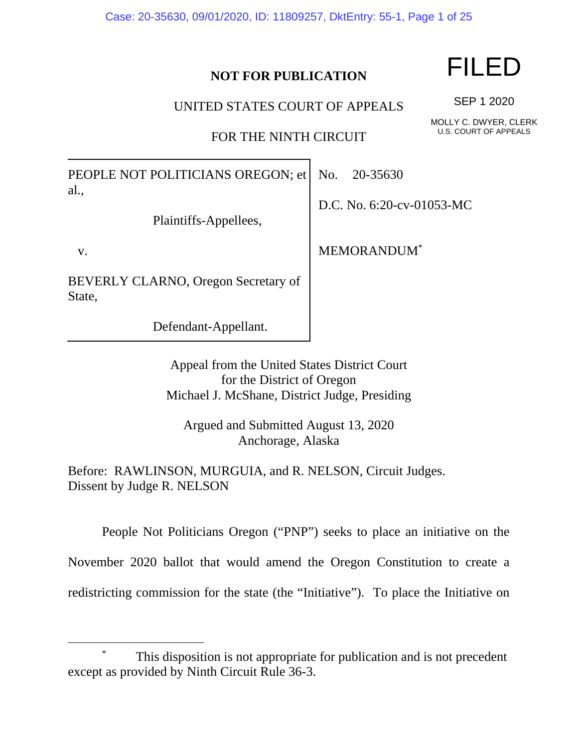Case: 20-35630, 09/01/2020, ID: 11809257, DktEntry: 55-1, Page 1 of 25

## **NOT FOR PUBLICATION**

UNITED STATES COURT OF APPEALS

FOR THE NINTH CIRCUIT

PEOPLE NOT POLITICIANS OREGON; et al.,

Plaintiffs-Appellees,

v.

BEVERLY CLARNO, Oregon Secretary of State,

Defendant-Appellant.

No. 20-35630

D.C. No. 6:20-cv-01053-MC

MEMORANDUM\*

Appeal from the United States District Court for the District of Oregon Michael J. McShane, District Judge, Presiding

Argued and Submitted August 13, 2020 Anchorage, Alaska

Before: RAWLINSON, MURGUIA, and R. NELSON, Circuit Judges. Dissent by Judge R. NELSON

 People Not Politicians Oregon ("PNP") seeks to place an initiative on the November 2020 ballot that would amend the Oregon Constitution to create a redistricting commission for the state (the "Initiative"). To place the Initiative on

FILED

SEP 1 2020

MOLLY C. DWYER, CLERK U.S. COURT OF APPEALS

 <sup>\*</sup> This disposition is not appropriate for publication and is not precedent except as provided by Ninth Circuit Rule 36-3.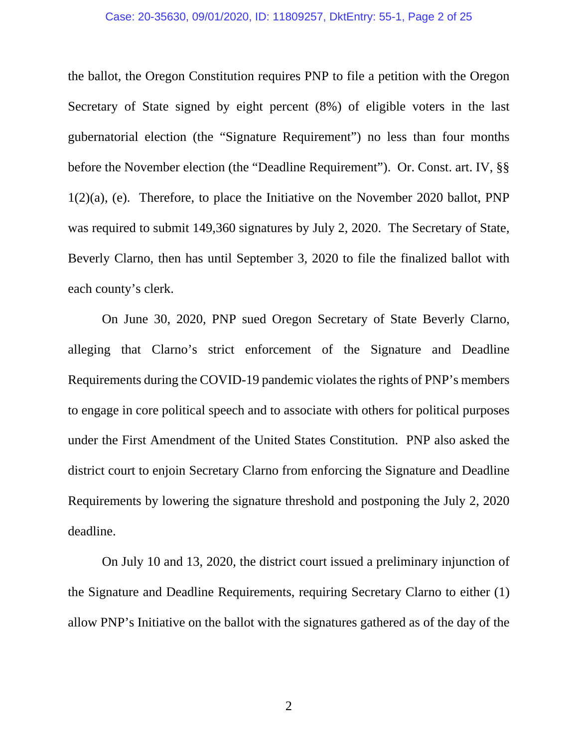#### Case: 20-35630, 09/01/2020, ID: 11809257, DktEntry: 55-1, Page 2 of 25

the ballot, the Oregon Constitution requires PNP to file a petition with the Oregon Secretary of State signed by eight percent (8%) of eligible voters in the last gubernatorial election (the "Signature Requirement") no less than four months before the November election (the "Deadline Requirement"). Or. Const. art. IV, §§ 1(2)(a), (e). Therefore, to place the Initiative on the November 2020 ballot, PNP was required to submit 149,360 signatures by July 2, 2020. The Secretary of State, Beverly Clarno, then has until September 3, 2020 to file the finalized ballot with each county's clerk.

On June 30, 2020, PNP sued Oregon Secretary of State Beverly Clarno, alleging that Clarno's strict enforcement of the Signature and Deadline Requirements during the COVID-19 pandemic violates the rights of PNP's members to engage in core political speech and to associate with others for political purposes under the First Amendment of the United States Constitution. PNP also asked the district court to enjoin Secretary Clarno from enforcing the Signature and Deadline Requirements by lowering the signature threshold and postponing the July 2, 2020 deadline.

On July 10 and 13, 2020, the district court issued a preliminary injunction of the Signature and Deadline Requirements, requiring Secretary Clarno to either (1) allow PNP's Initiative on the ballot with the signatures gathered as of the day of the

2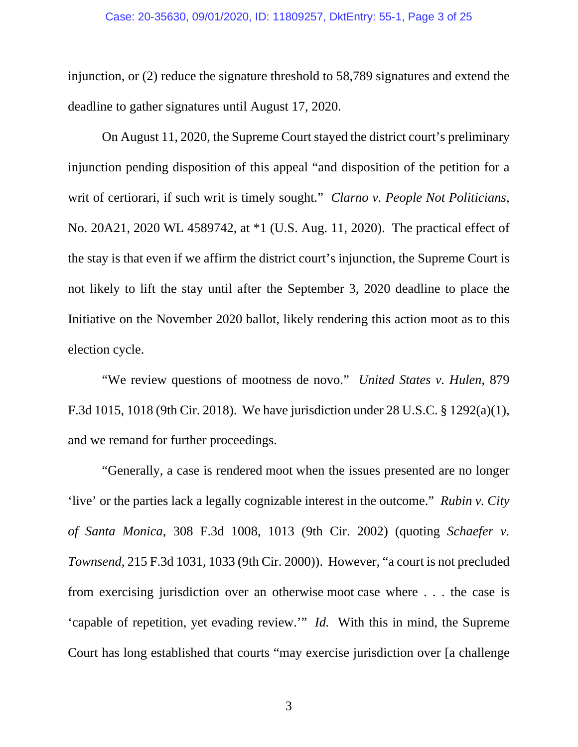#### Case: 20-35630, 09/01/2020, ID: 11809257, DktEntry: 55-1, Page 3 of 25

injunction, or (2) reduce the signature threshold to 58,789 signatures and extend the deadline to gather signatures until August 17, 2020.

On August 11, 2020, the Supreme Court stayed the district court's preliminary injunction pending disposition of this appeal "and disposition of the petition for a writ of certiorari, if such writ is timely sought." *Clarno v. People Not Politicians*, No. 20A21, 2020 WL 4589742, at \*1 (U.S. Aug. 11, 2020). The practical effect of the stay is that even if we affirm the district court's injunction, the Supreme Court is not likely to lift the stay until after the September 3, 2020 deadline to place the Initiative on the November 2020 ballot, likely rendering this action moot as to this election cycle.

"We review questions of mootness de novo." *United States v. Hulen*, 879 F.3d 1015, 1018 (9th Cir. 2018). We have jurisdiction under 28 U.S.C. § 1292(a)(1), and we remand for further proceedings.

"Generally, a case is rendered moot when the issues presented are no longer 'live' or the parties lack a legally cognizable interest in the outcome." *Rubin v. City of Santa Monica*, 308 F.3d 1008, 1013 (9th Cir. 2002) (quoting *Schaefer v. Townsend*, 215 F.3d 1031, 1033 (9th Cir. 2000)). However, "a court is not precluded from exercising jurisdiction over an otherwise moot case where . . . the case is 'capable of repetition, yet evading review.'" *Id.* With this in mind, the Supreme Court has long established that courts "may exercise jurisdiction over [a challenge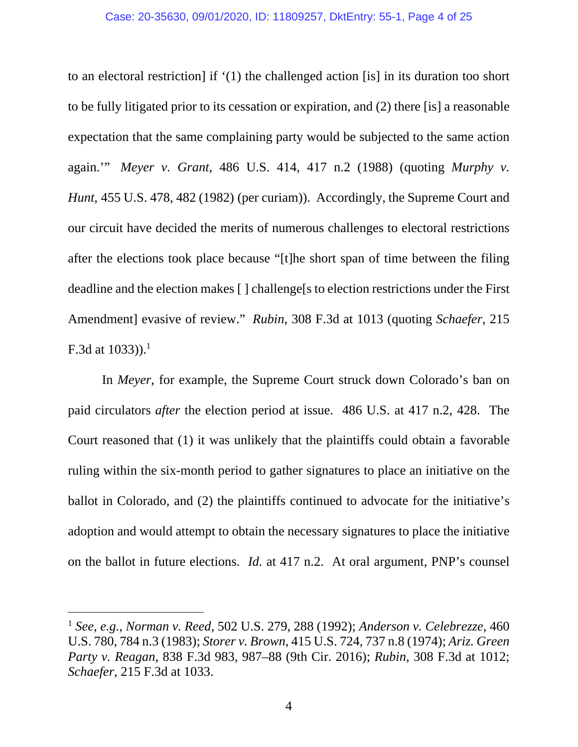to an electoral restriction] if '(1) the challenged action [is] in its duration too short to be fully litigated prior to its cessation or expiration, and (2) there [is] a reasonable expectation that the same complaining party would be subjected to the same action again.'" *Meyer v. Grant*, 486 U.S. 414, 417 n.2 (1988) (quoting *Murphy v. Hunt,* 455 U.S. 478, 482 (1982) (per curiam)). Accordingly, the Supreme Court and our circuit have decided the merits of numerous challenges to electoral restrictions after the elections took place because "[t]he short span of time between the filing deadline and the election makes [ ] challenge[s to election restrictions under the First Amendment] evasive of review." *Rubin*, 308 F.3d at 1013 (quoting *Schaefer*, 215 F.3d at  $1033$ )).<sup>1</sup>

In *Meyer*, for example, the Supreme Court struck down Colorado's ban on paid circulators *after* the election period at issue. 486 U.S. at 417 n.2, 428. The Court reasoned that (1) it was unlikely that the plaintiffs could obtain a favorable ruling within the six-month period to gather signatures to place an initiative on the ballot in Colorado, and (2) the plaintiffs continued to advocate for the initiative's adoption and would attempt to obtain the necessary signatures to place the initiative on the ballot in future elections. *Id.* at 417 n.2. At oral argument, PNP's counsel

<sup>1</sup> *See, e.g.*, *Norman v. Reed*, 502 U.S. 279, 288 (1992); *Anderson v. Celebrezze*, 460 U.S. 780, 784 n.3 (1983); *Storer v. Brown*, 415 U.S. 724, 737 n.8 (1974); *Ariz. Green Party v. Reagan*, 838 F.3d 983, 987–88 (9th Cir. 2016); *Rubin*, 308 F.3d at 1012; *Schaefer*, 215 F.3d at 1033.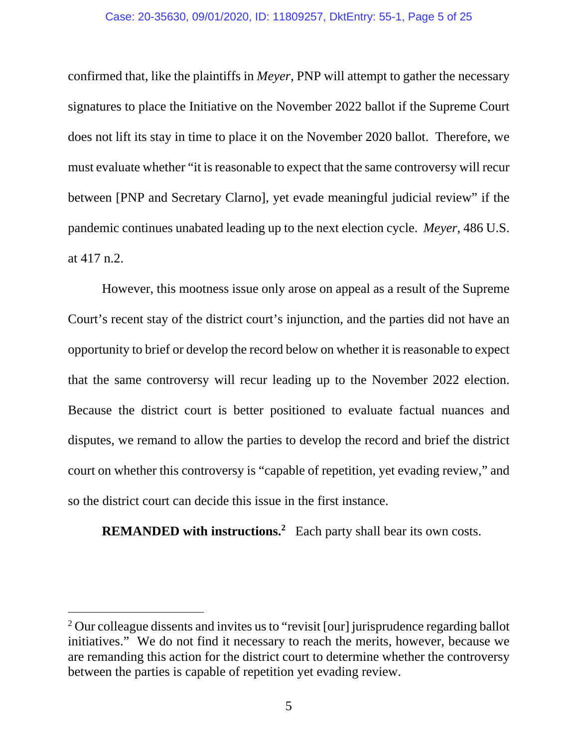confirmed that, like the plaintiffs in *Meyer*, PNP will attempt to gather the necessary signatures to place the Initiative on the November 2022 ballot if the Supreme Court does not lift its stay in time to place it on the November 2020 ballot. Therefore, we must evaluate whether "it is reasonable to expect that the same controversy will recur between [PNP and Secretary Clarno], yet evade meaningful judicial review" if the pandemic continues unabated leading up to the next election cycle. *Meyer*, 486 U.S. at 417 n.2.

However, this mootness issue only arose on appeal as a result of the Supreme Court's recent stay of the district court's injunction, and the parties did not have an opportunity to brief or develop the record below on whether it is reasonable to expect that the same controversy will recur leading up to the November 2022 election. Because the district court is better positioned to evaluate factual nuances and disputes, we remand to allow the parties to develop the record and brief the district court on whether this controversy is "capable of repetition, yet evading review," and so the district court can decide this issue in the first instance.

**REMANDED with instructions.<sup>2</sup>** Each party shall bear its own costs.

<sup>&</sup>lt;sup>2</sup> Our colleague dissents and invites us to "revisit [our] jurisprudence regarding ballot initiatives." We do not find it necessary to reach the merits, however, because we are remanding this action for the district court to determine whether the controversy between the parties is capable of repetition yet evading review.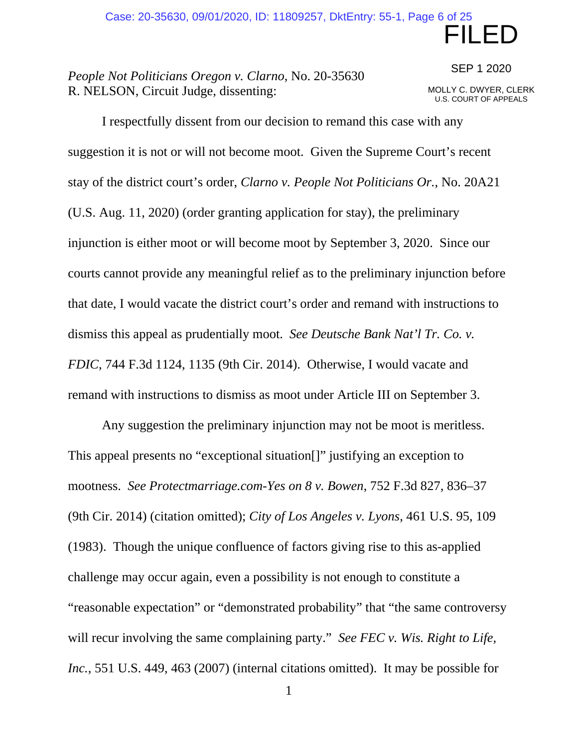## *People Not Politicians Oregon v. Clarno*, No. 20-35630 R. NELSON, Circuit Judge, dissenting:

SEP 1 2020

FILED

MOLLY C. DWYER, CLERK U.S. COURT OF APPEALS

 I respectfully dissent from our decision to remand this case with any suggestion it is not or will not become moot. Given the Supreme Court's recent stay of the district court's order, *Clarno v. People Not Politicians Or.*, No. 20A21 (U.S. Aug. 11, 2020) (order granting application for stay), the preliminary injunction is either moot or will become moot by September 3, 2020. Since our courts cannot provide any meaningful relief as to the preliminary injunction before that date, I would vacate the district court's order and remand with instructions to dismiss this appeal as prudentially moot. *See Deutsche Bank Nat'l Tr. Co. v. FDIC*, 744 F.3d 1124, 1135 (9th Cir. 2014). Otherwise, I would vacate and remand with instructions to dismiss as moot under Article III on September 3.

Any suggestion the preliminary injunction may not be moot is meritless. This appeal presents no "exceptional situation[]" justifying an exception to mootness. *See Protectmarriage.com-Yes on 8 v. Bowen*, 752 F.3d 827, 836–37 (9th Cir. 2014) (citation omitted); *City of Los Angeles v. Lyons*, 461 U.S. 95, 109 (1983). Though the unique confluence of factors giving rise to this as-applied challenge may occur again, even a possibility is not enough to constitute a "reasonable expectation" or "demonstrated probability" that "the same controversy will recur involving the same complaining party." *See FEC v. Wis. Right to Life, Inc.*, 551 U.S. 449, 463 (2007) (internal citations omitted). It may be possible for

1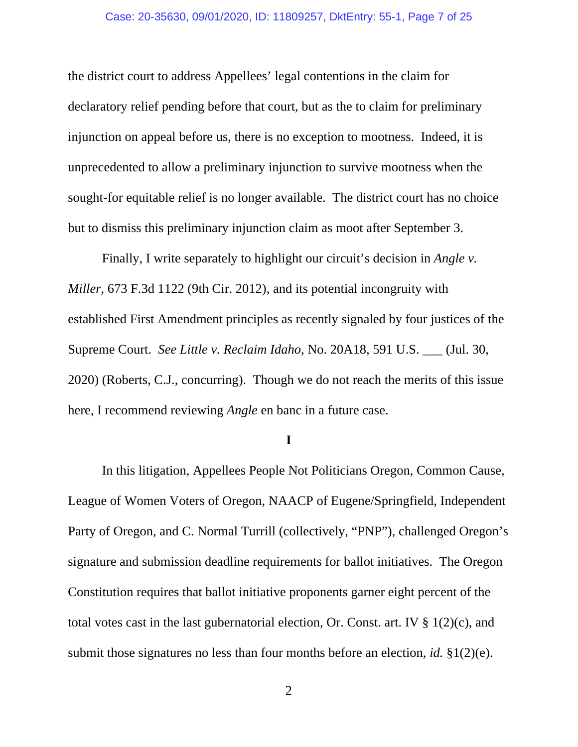the district court to address Appellees' legal contentions in the claim for declaratory relief pending before that court, but as the to claim for preliminary injunction on appeal before us, there is no exception to mootness. Indeed, it is unprecedented to allow a preliminary injunction to survive mootness when the sought-for equitable relief is no longer available. The district court has no choice but to dismiss this preliminary injunction claim as moot after September 3.

 Finally, I write separately to highlight our circuit's decision in *Angle v. Miller*, 673 F.3d 1122 (9th Cir. 2012), and its potential incongruity with established First Amendment principles as recently signaled by four justices of the Supreme Court. *See Little v. Reclaim Idaho*, No. 20A18, 591 U.S. \_\_\_ (Jul. 30, 2020) (Roberts, C.J., concurring). Though we do not reach the merits of this issue here, I recommend reviewing *Angle* en banc in a future case.

#### **I**

 In this litigation, Appellees People Not Politicians Oregon, Common Cause, League of Women Voters of Oregon, NAACP of Eugene/Springfield, Independent Party of Oregon, and C. Normal Turrill (collectively, "PNP"), challenged Oregon's signature and submission deadline requirements for ballot initiatives. The Oregon Constitution requires that ballot initiative proponents garner eight percent of the total votes cast in the last gubernatorial election, Or. Const. art. IV  $\S 1(2)(c)$ , and submit those signatures no less than four months before an election, *id.* §1(2)(e).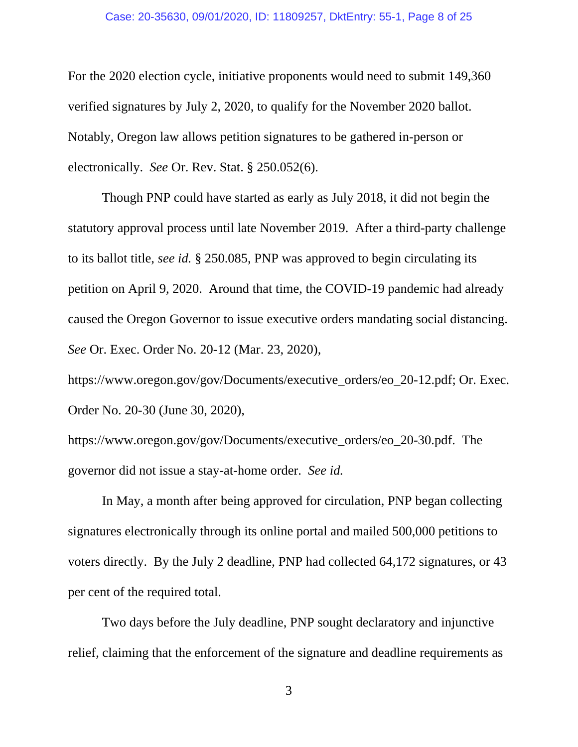#### Case: 20-35630, 09/01/2020, ID: 11809257, DktEntry: 55-1, Page 8 of 25

For the 2020 election cycle, initiative proponents would need to submit 149,360 verified signatures by July 2, 2020, to qualify for the November 2020 ballot. Notably, Oregon law allows petition signatures to be gathered in-person or electronically. *See* Or. Rev. Stat. § 250.052(6).

Though PNP could have started as early as July 2018, it did not begin the statutory approval process until late November 2019. After a third-party challenge to its ballot title, *see id.* § 250.085, PNP was approved to begin circulating its petition on April 9, 2020. Around that time, the COVID-19 pandemic had already caused the Oregon Governor to issue executive orders mandating social distancing. *See* Or. Exec. Order No. 20-12 (Mar. 23, 2020),

https://www.oregon.gov/gov/Documents/executive\_orders/eo\_20-12.pdf; Or. Exec. Order No. 20-30 (June 30, 2020),

https://www.oregon.gov/gov/Documents/executive\_orders/eo\_20-30.pdf. The governor did not issue a stay-at-home order. *See id.*

In May, a month after being approved for circulation, PNP began collecting signatures electronically through its online portal and mailed 500,000 petitions to voters directly. By the July 2 deadline, PNP had collected 64,172 signatures, or 43 per cent of the required total.

Two days before the July deadline, PNP sought declaratory and injunctive relief, claiming that the enforcement of the signature and deadline requirements as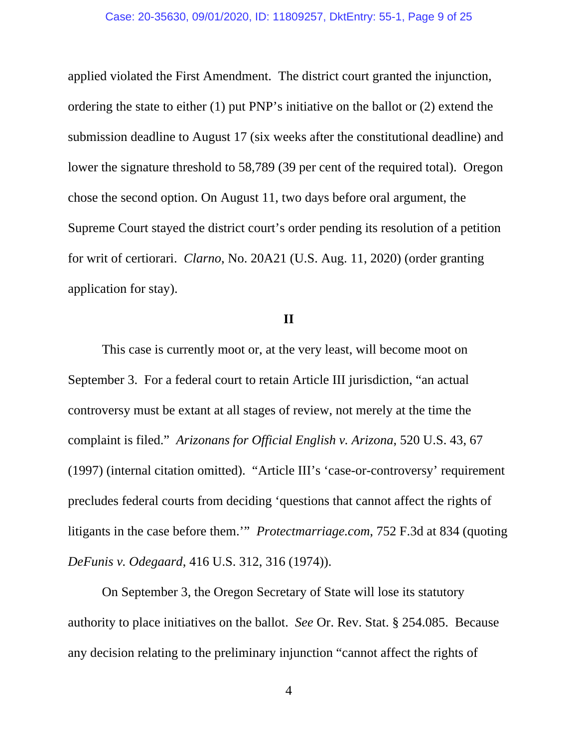applied violated the First Amendment. The district court granted the injunction, ordering the state to either (1) put PNP's initiative on the ballot or (2) extend the submission deadline to August 17 (six weeks after the constitutional deadline) and lower the signature threshold to 58,789 (39 per cent of the required total). Oregon chose the second option. On August 11, two days before oral argument, the Supreme Court stayed the district court's order pending its resolution of a petition for writ of certiorari. *Clarno*, No. 20A21 (U.S. Aug. 11, 2020) (order granting application for stay).

### **II**

 This case is currently moot or, at the very least, will become moot on September 3. For a federal court to retain Article III jurisdiction, "an actual controversy must be extant at all stages of review, not merely at the time the complaint is filed." *Arizonans for Official English v. Arizona*, 520 U.S. 43, 67 (1997) (internal citation omitted). "Article III's 'case-or-controversy' requirement precludes federal courts from deciding 'questions that cannot affect the rights of litigants in the case before them.'" *Protectmarriage.com*, 752 F.3d at 834 (quoting *DeFunis v. Odegaard*, 416 U.S. 312, 316 (1974)).

On September 3, the Oregon Secretary of State will lose its statutory authority to place initiatives on the ballot. *See* Or. Rev. Stat. § 254.085. Because any decision relating to the preliminary injunction "cannot affect the rights of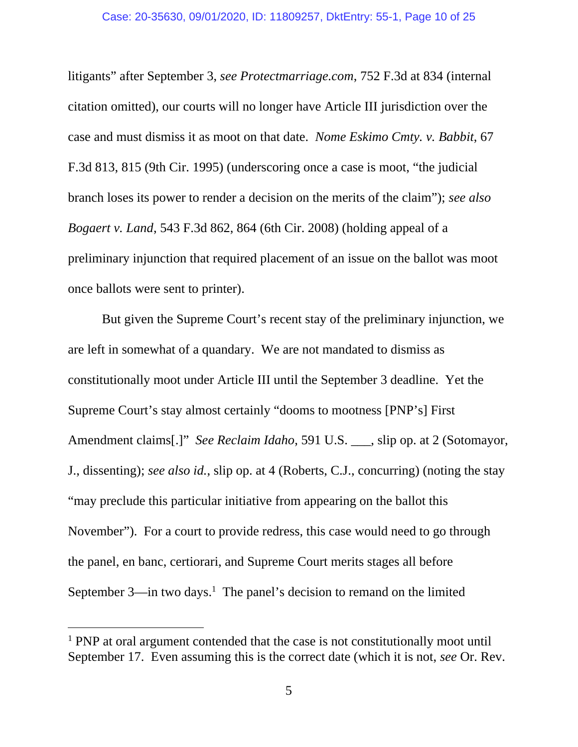litigants" after September 3, *see Protectmarriage.com*, 752 F.3d at 834 (internal citation omitted), our courts will no longer have Article III jurisdiction over the case and must dismiss it as moot on that date. *Nome Eskimo Cmty. v. Babbit*, 67 F.3d 813, 815 (9th Cir. 1995) (underscoring once a case is moot, "the judicial branch loses its power to render a decision on the merits of the claim"); *see also Bogaert v. Land*, 543 F.3d 862, 864 (6th Cir. 2008) (holding appeal of a preliminary injunction that required placement of an issue on the ballot was moot once ballots were sent to printer).

But given the Supreme Court's recent stay of the preliminary injunction, we are left in somewhat of a quandary. We are not mandated to dismiss as constitutionally moot under Article III until the September 3 deadline. Yet the Supreme Court's stay almost certainly "dooms to mootness [PNP's] First Amendment claims[.]" *See Reclaim Idaho*, 591 U.S. \_\_\_, slip op. at 2 (Sotomayor, J., dissenting); *see also id.*, slip op. at 4 (Roberts, C.J., concurring) (noting the stay "may preclude this particular initiative from appearing on the ballot this November"). For a court to provide redress, this case would need to go through the panel, en banc, certiorari, and Supreme Court merits stages all before September  $3$ —in two days.<sup>1</sup> The panel's decision to remand on the limited

<sup>&</sup>lt;sup>1</sup> PNP at oral argument contended that the case is not constitutionally moot until September 17. Even assuming this is the correct date (which it is not, *see* Or. Rev.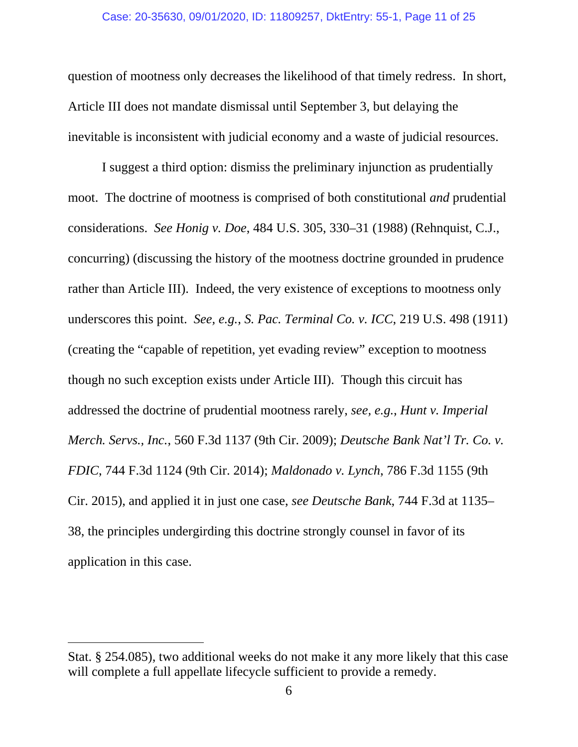question of mootness only decreases the likelihood of that timely redress. In short, Article III does not mandate dismissal until September 3, but delaying the inevitable is inconsistent with judicial economy and a waste of judicial resources.

I suggest a third option: dismiss the preliminary injunction as prudentially moot. The doctrine of mootness is comprised of both constitutional *and* prudential considerations. *See Honig v. Doe*, 484 U.S. 305, 330–31 (1988) (Rehnquist, C.J., concurring) (discussing the history of the mootness doctrine grounded in prudence rather than Article III). Indeed, the very existence of exceptions to mootness only underscores this point. *See, e.g.*, *S. Pac. Terminal Co. v. ICC*, 219 U.S. 498 (1911) (creating the "capable of repetition, yet evading review" exception to mootness though no such exception exists under Article III). Though this circuit has addressed the doctrine of prudential mootness rarely, *see, e.g.*, *Hunt v. Imperial Merch. Servs., Inc.*, 560 F.3d 1137 (9th Cir. 2009); *Deutsche Bank Nat'l Tr. Co. v. FDIC*, 744 F.3d 1124 (9th Cir. 2014); *Maldonado v. Lynch*, 786 F.3d 1155 (9th Cir. 2015), and applied it in just one case, *see Deutsche Bank*, 744 F.3d at 1135– 38, the principles undergirding this doctrine strongly counsel in favor of its application in this case.

Stat. § 254.085), two additional weeks do not make it any more likely that this case will complete a full appellate lifecycle sufficient to provide a remedy.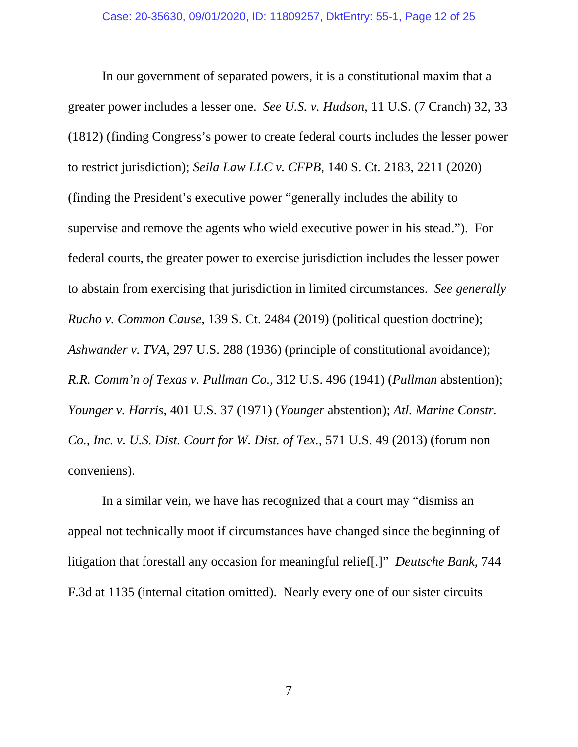In our government of separated powers, it is a constitutional maxim that a greater power includes a lesser one. *See U.S. v. Hudson*, 11 U.S. (7 Cranch) 32, 33 (1812) (finding Congress's power to create federal courts includes the lesser power to restrict jurisdiction); *Seila Law LLC v. CFPB*, 140 S. Ct. 2183, 2211 (2020) (finding the President's executive power "generally includes the ability to supervise and remove the agents who wield executive power in his stead."). For federal courts, the greater power to exercise jurisdiction includes the lesser power to abstain from exercising that jurisdiction in limited circumstances. *See generally Rucho v. Common Cause*, 139 S. Ct. 2484 (2019) (political question doctrine); *Ashwander v. TVA*, 297 U.S. 288 (1936) (principle of constitutional avoidance); *R.R. Comm'n of Texas v. Pullman Co.*, 312 U.S. 496 (1941) (*Pullman* abstention); *Younger v. Harris*, 401 U.S. 37 (1971) (*Younger* abstention); *Atl. Marine Constr. Co., Inc. v. U.S. Dist. Court for W. Dist. of Tex.*, 571 U.S. 49 (2013) (forum non conveniens).

In a similar vein, we have has recognized that a court may "dismiss an appeal not technically moot if circumstances have changed since the beginning of litigation that forestall any occasion for meaningful relief[.]" *Deutsche Bank*, 744 F.3d at 1135 (internal citation omitted). Nearly every one of our sister circuits

7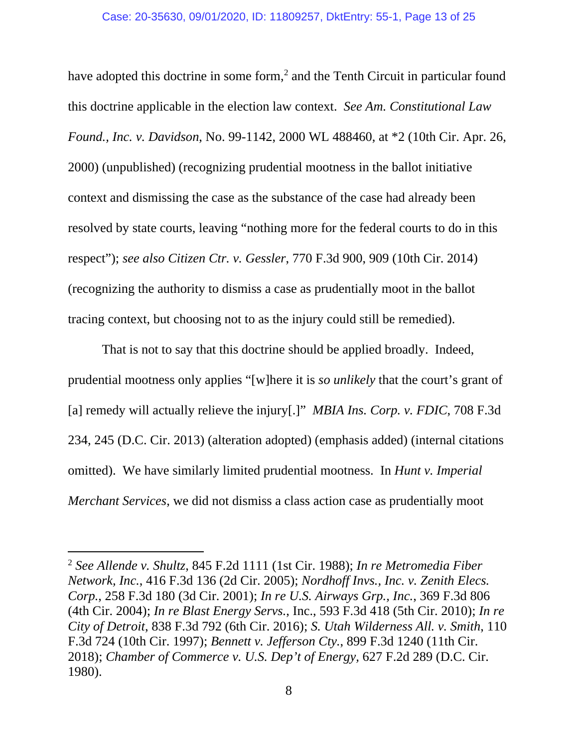have adopted this doctrine in some form,<sup>2</sup> and the Tenth Circuit in particular found this doctrine applicable in the election law context. *See Am. Constitutional Law Found., Inc. v. Davidson*, No. 99-1142, 2000 WL 488460, at \*2 (10th Cir. Apr. 26, 2000) (unpublished) (recognizing prudential mootness in the ballot initiative context and dismissing the case as the substance of the case had already been resolved by state courts, leaving "nothing more for the federal courts to do in this respect"); *see also Citizen Ctr. v. Gessler*, 770 F.3d 900, 909 (10th Cir. 2014) (recognizing the authority to dismiss a case as prudentially moot in the ballot tracing context, but choosing not to as the injury could still be remedied).

That is not to say that this doctrine should be applied broadly. Indeed, prudential mootness only applies "[w]here it is *so unlikely* that the court's grant of [a] remedy will actually relieve the injury[.]" *MBIA Ins. Corp. v. FDIC*, 708 F.3d 234, 245 (D.C. Cir. 2013) (alteration adopted) (emphasis added) (internal citations omitted). We have similarly limited prudential mootness. In *Hunt v. Imperial Merchant Services*, we did not dismiss a class action case as prudentially moot

<sup>2</sup> *See Allende v. Shultz*, 845 F.2d 1111 (1st Cir. 1988); *In re Metromedia Fiber Network, Inc.*, 416 F.3d 136 (2d Cir. 2005); *Nordhoff Invs., Inc. v. Zenith Elecs. Corp.*, 258 F.3d 180 (3d Cir. 2001); *In re U.S. Airways Grp., Inc.*, 369 F.3d 806 (4th Cir. 2004); *In re Blast Energy Servs.*, Inc., 593 F.3d 418 (5th Cir. 2010); *In re City of Detroit*, 838 F.3d 792 (6th Cir. 2016); *S. Utah Wilderness All. v. Smith*, 110 F.3d 724 (10th Cir. 1997); *Bennett v. Jefferson Cty.*, 899 F.3d 1240 (11th Cir. 2018); *Chamber of Commerce v. U.S. Dep't of Energy,* 627 F.2d 289 (D.C. Cir. 1980).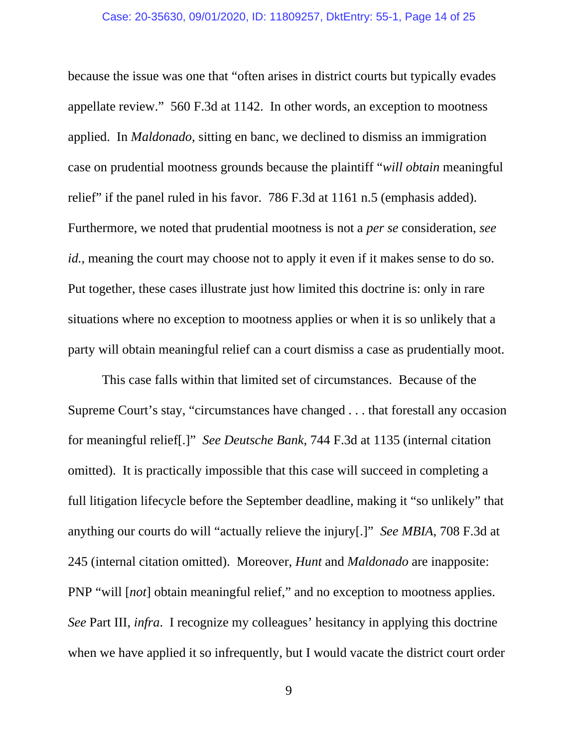because the issue was one that "often arises in district courts but typically evades appellate review." 560 F.3d at 1142. In other words, an exception to mootness applied. In *Maldonado*, sitting en banc, we declined to dismiss an immigration case on prudential mootness grounds because the plaintiff "*will obtain* meaningful relief" if the panel ruled in his favor. 786 F.3d at 1161 n.5 (emphasis added). Furthermore, we noted that prudential mootness is not a *per se* consideration, *see id.*, meaning the court may choose not to apply it even if it makes sense to do so. Put together, these cases illustrate just how limited this doctrine is: only in rare situations where no exception to mootness applies or when it is so unlikely that a party will obtain meaningful relief can a court dismiss a case as prudentially moot.

This case falls within that limited set of circumstances. Because of the Supreme Court's stay, "circumstances have changed . . . that forestall any occasion for meaningful relief[.]" *See Deutsche Bank*, 744 F.3d at 1135 (internal citation omitted). It is practically impossible that this case will succeed in completing a full litigation lifecycle before the September deadline, making it "so unlikely" that anything our courts do will "actually relieve the injury[.]" *See MBIA*, 708 F.3d at 245 (internal citation omitted). Moreover, *Hunt* and *Maldonado* are inapposite: PNP "will [*not*] obtain meaningful relief," and no exception to mootness applies. *See* Part III, *infra*. I recognize my colleagues' hesitancy in applying this doctrine when we have applied it so infrequently, but I would vacate the district court order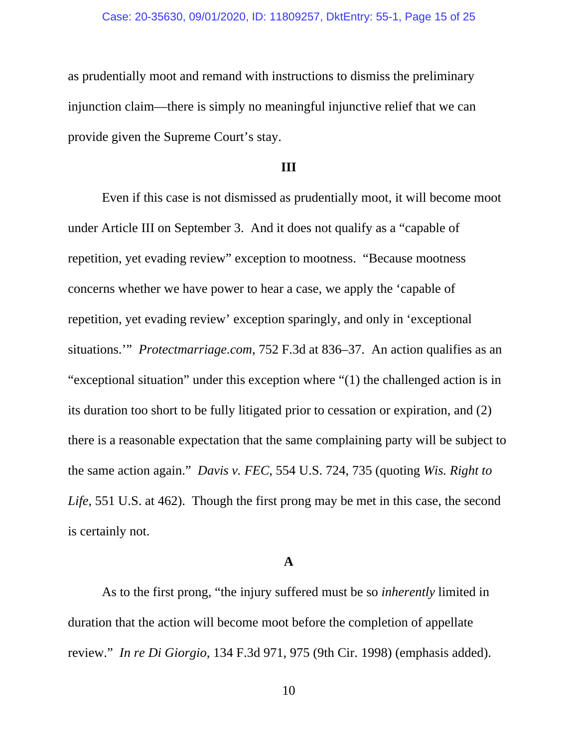as prudentially moot and remand with instructions to dismiss the preliminary injunction claim—there is simply no meaningful injunctive relief that we can provide given the Supreme Court's stay.

### **III**

 Even if this case is not dismissed as prudentially moot, it will become moot under Article III on September 3. And it does not qualify as a "capable of repetition, yet evading review" exception to mootness. "Because mootness concerns whether we have power to hear a case, we apply the 'capable of repetition, yet evading review' exception sparingly, and only in 'exceptional situations.'" *Protectmarriage.com*, 752 F.3d at 836–37. An action qualifies as an "exceptional situation" under this exception where "(1) the challenged action is in its duration too short to be fully litigated prior to cessation or expiration, and (2) there is a reasonable expectation that the same complaining party will be subject to the same action again." *Davis v. FEC*, 554 U.S. 724, 735 (quoting *Wis. Right to Life*, 551 U.S. at 462). Though the first prong may be met in this case, the second is certainly not.

### **A**

As to the first prong, "the injury suffered must be so *inherently* limited in duration that the action will become moot before the completion of appellate review." *In re Di Giorgio*, 134 F.3d 971, 975 (9th Cir. 1998) (emphasis added).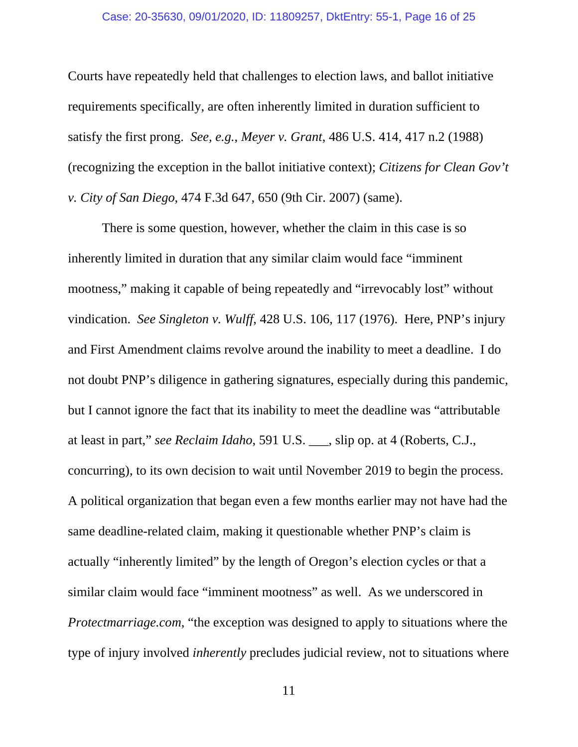Courts have repeatedly held that challenges to election laws, and ballot initiative requirements specifically, are often inherently limited in duration sufficient to satisfy the first prong. *See, e.g.*, *Meyer v. Grant*, 486 U.S. 414, 417 n.2 (1988) (recognizing the exception in the ballot initiative context); *Citizens for Clean Gov't v. City of San Diego*, 474 F.3d 647, 650 (9th Cir. 2007) (same).

There is some question, however, whether the claim in this case is so inherently limited in duration that any similar claim would face "imminent mootness," making it capable of being repeatedly and "irrevocably lost" without vindication. *See Singleton v. Wulff*, 428 U.S. 106, 117 (1976). Here, PNP's injury and First Amendment claims revolve around the inability to meet a deadline. I do not doubt PNP's diligence in gathering signatures, especially during this pandemic, but I cannot ignore the fact that its inability to meet the deadline was "attributable at least in part," *see Reclaim Idaho*, 591 U.S. \_\_\_, slip op. at 4 (Roberts, C.J., concurring), to its own decision to wait until November 2019 to begin the process. A political organization that began even a few months earlier may not have had the same deadline-related claim, making it questionable whether PNP's claim is actually "inherently limited" by the length of Oregon's election cycles or that a similar claim would face "imminent mootness" as well. As we underscored in *Protectmarriage.com*, "the exception was designed to apply to situations where the type of injury involved *inherently* precludes judicial review, not to situations where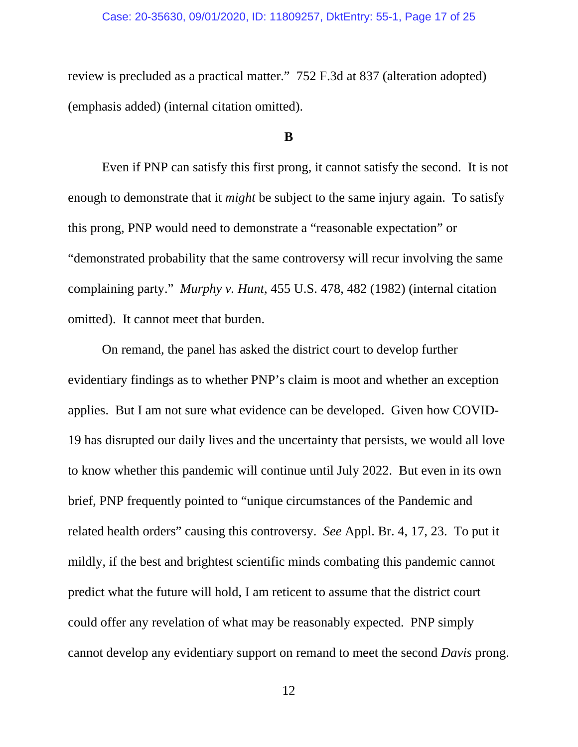#### Case: 20-35630, 09/01/2020, ID: 11809257, DktEntry: 55-1, Page 17 of 25

review is precluded as a practical matter." 752 F.3d at 837 (alteration adopted) (emphasis added) (internal citation omitted).

### **B**

Even if PNP can satisfy this first prong, it cannot satisfy the second. It is not enough to demonstrate that it *might* be subject to the same injury again. To satisfy this prong, PNP would need to demonstrate a "reasonable expectation" or "demonstrated probability that the same controversy will recur involving the same complaining party." *Murphy v. Hunt*, 455 U.S. 478, 482 (1982) (internal citation omitted). It cannot meet that burden.

On remand, the panel has asked the district court to develop further evidentiary findings as to whether PNP's claim is moot and whether an exception applies. But I am not sure what evidence can be developed. Given how COVID-19 has disrupted our daily lives and the uncertainty that persists, we would all love to know whether this pandemic will continue until July 2022. But even in its own brief, PNP frequently pointed to "unique circumstances of the Pandemic and related health orders" causing this controversy. *See* Appl. Br. 4, 17, 23. To put it mildly, if the best and brightest scientific minds combating this pandemic cannot predict what the future will hold, I am reticent to assume that the district court could offer any revelation of what may be reasonably expected. PNP simply cannot develop any evidentiary support on remand to meet the second *Davis* prong.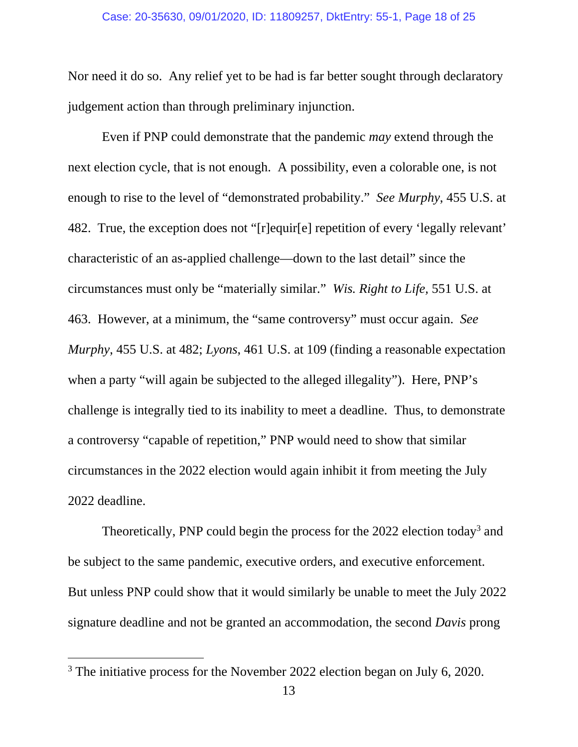Nor need it do so. Any relief yet to be had is far better sought through declaratory judgement action than through preliminary injunction.

Even if PNP could demonstrate that the pandemic *may* extend through the next election cycle, that is not enough. A possibility, even a colorable one, is not enough to rise to the level of "demonstrated probability." *See Murphy*, 455 U.S. at 482. True, the exception does not "[r]equir[e] repetition of every 'legally relevant' characteristic of an as-applied challenge—down to the last detail" since the circumstances must only be "materially similar." *Wis. Right to Life,* 551 U.S. at 463. However, at a minimum, the "same controversy" must occur again. *See Murphy*, 455 U.S. at 482; *Lyons*, 461 U.S. at 109 (finding a reasonable expectation when a party "will again be subjected to the alleged illegality"). Here, PNP's challenge is integrally tied to its inability to meet a deadline. Thus, to demonstrate a controversy "capable of repetition," PNP would need to show that similar circumstances in the 2022 election would again inhibit it from meeting the July 2022 deadline.

Theoretically, PNP could begin the process for the 2022 election today<sup>3</sup> and be subject to the same pandemic, executive orders, and executive enforcement. But unless PNP could show that it would similarly be unable to meet the July 2022 signature deadline and not be granted an accommodation, the second *Davis* prong

<sup>&</sup>lt;sup>3</sup> The initiative process for the November 2022 election began on July 6, 2020.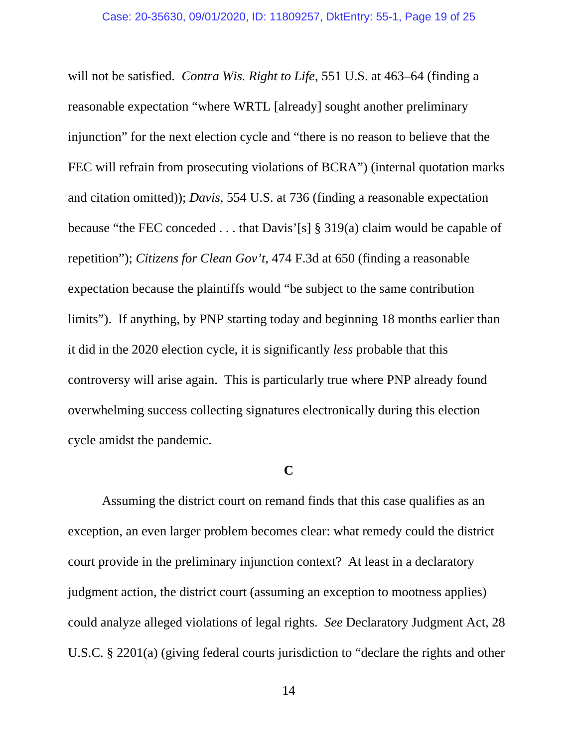will not be satisfied. *Contra Wis. Right to Life*, 551 U.S. at 463–64 (finding a reasonable expectation "where WRTL [already] sought another preliminary injunction" for the next election cycle and "there is no reason to believe that the FEC will refrain from prosecuting violations of BCRA") (internal quotation marks and citation omitted)); *Davis*, 554 U.S. at 736 (finding a reasonable expectation because "the FEC conceded . . . that Davis'[s] § 319(a) claim would be capable of repetition"); *Citizens for Clean Gov't*, 474 F.3d at 650 (finding a reasonable expectation because the plaintiffs would "be subject to the same contribution limits"). If anything, by PNP starting today and beginning 18 months earlier than it did in the 2020 election cycle, it is significantly *less* probable that this controversy will arise again. This is particularly true where PNP already found overwhelming success collecting signatures electronically during this election cycle amidst the pandemic.

### **C**

 Assuming the district court on remand finds that this case qualifies as an exception, an even larger problem becomes clear: what remedy could the district court provide in the preliminary injunction context? At least in a declaratory judgment action, the district court (assuming an exception to mootness applies) could analyze alleged violations of legal rights. *See* Declaratory Judgment Act, 28 U.S.C. § 2201(a) (giving federal courts jurisdiction to "declare the rights and other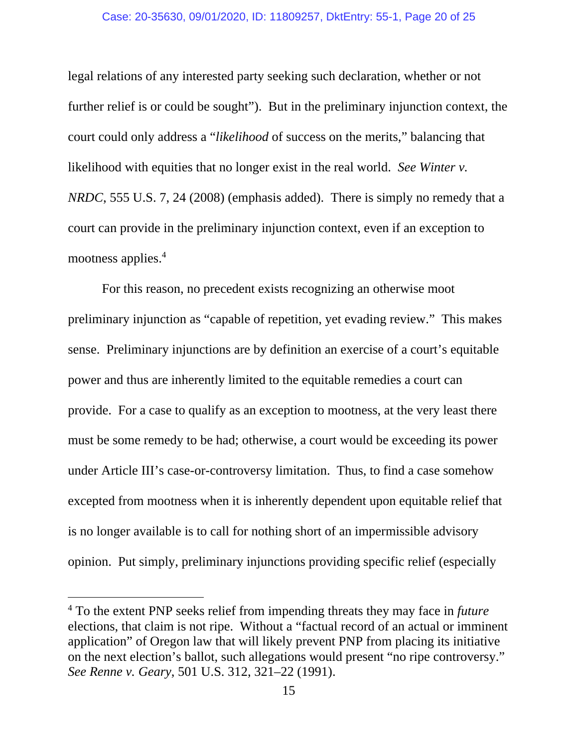legal relations of any interested party seeking such declaration, whether or not further relief is or could be sought"). But in the preliminary injunction context, the court could only address a "*likelihood* of success on the merits," balancing that likelihood with equities that no longer exist in the real world. *See Winter v. NRDC*, 555 U.S. 7, 24 (2008) (emphasis added). There is simply no remedy that a court can provide in the preliminary injunction context, even if an exception to mootness applies.<sup>4</sup>

For this reason, no precedent exists recognizing an otherwise moot preliminary injunction as "capable of repetition, yet evading review." This makes sense. Preliminary injunctions are by definition an exercise of a court's equitable power and thus are inherently limited to the equitable remedies a court can provide. For a case to qualify as an exception to mootness, at the very least there must be some remedy to be had; otherwise, a court would be exceeding its power under Article III's case-or-controversy limitation. Thus, to find a case somehow excepted from mootness when it is inherently dependent upon equitable relief that is no longer available is to call for nothing short of an impermissible advisory opinion. Put simply, preliminary injunctions providing specific relief (especially

<sup>4</sup> To the extent PNP seeks relief from impending threats they may face in *future* elections, that claim is not ripe. Without a "factual record of an actual or imminent application" of Oregon law that will likely prevent PNP from placing its initiative on the next election's ballot, such allegations would present "no ripe controversy." *See Renne v. Geary*, 501 U.S. 312, 321–22 (1991).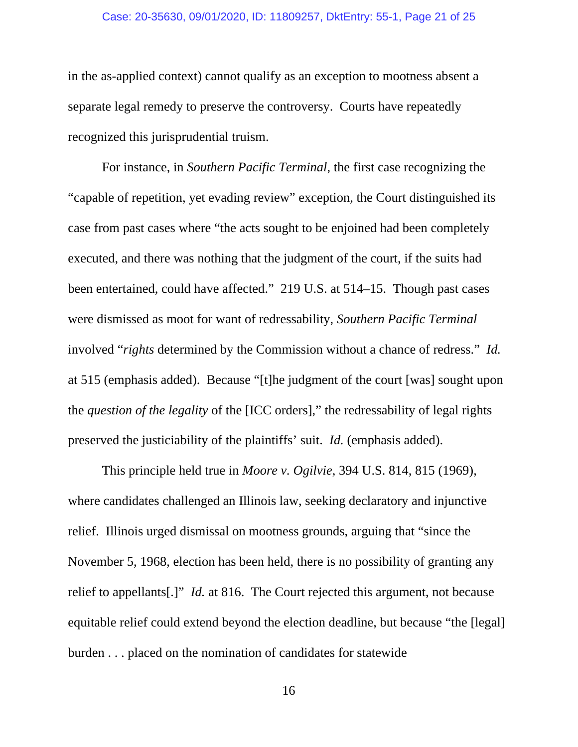#### Case: 20-35630, 09/01/2020, ID: 11809257, DktEntry: 55-1, Page 21 of 25

in the as-applied context) cannot qualify as an exception to mootness absent a separate legal remedy to preserve the controversy. Courts have repeatedly recognized this jurisprudential truism.

For instance, in *Southern Pacific Terminal*, the first case recognizing the "capable of repetition, yet evading review" exception, the Court distinguished its case from past cases where "the acts sought to be enjoined had been completely executed, and there was nothing that the judgment of the court, if the suits had been entertained, could have affected." 219 U.S. at 514–15. Though past cases were dismissed as moot for want of redressability, *Southern Pacific Terminal* involved "*rights* determined by the Commission without a chance of redress." *Id.*  at 515 (emphasis added). Because "[t]he judgment of the court [was] sought upon the *question of the legality* of the [ICC orders]," the redressability of legal rights preserved the justiciability of the plaintiffs' suit. *Id.* (emphasis added).

This principle held true in *Moore v. Ogilvie*, 394 U.S. 814, 815 (1969), where candidates challenged an Illinois law, seeking declaratory and injunctive relief. Illinois urged dismissal on mootness grounds, arguing that "since the November 5, 1968, election has been held, there is no possibility of granting any relief to appellants[.]" *Id.* at 816. The Court rejected this argument, not because equitable relief could extend beyond the election deadline, but because "the [legal] burden . . . placed on the nomination of candidates for statewide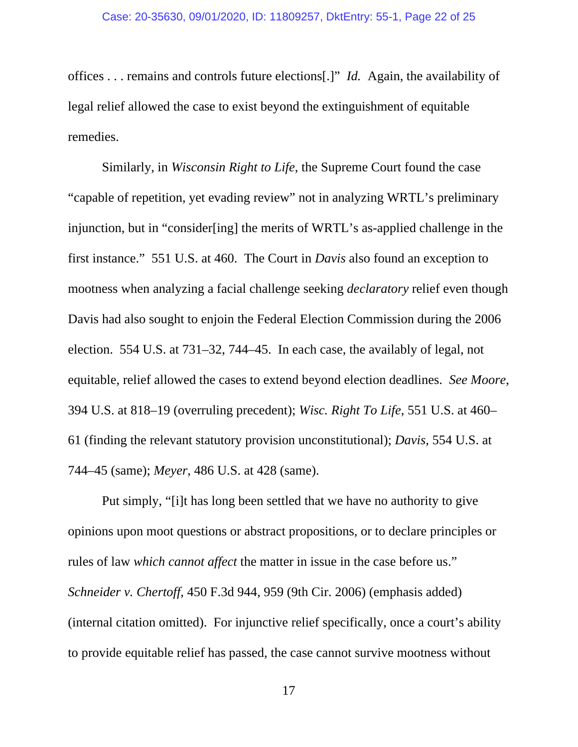offices . . . remains and controls future elections[.]" *Id.* Again, the availability of legal relief allowed the case to exist beyond the extinguishment of equitable remedies.

Similarly, in *Wisconsin Right to Life*, the Supreme Court found the case "capable of repetition, yet evading review" not in analyzing WRTL's preliminary injunction, but in "consider[ing] the merits of WRTL's as-applied challenge in the first instance." 551 U.S. at 460. The Court in *Davis* also found an exception to mootness when analyzing a facial challenge seeking *declaratory* relief even though Davis had also sought to enjoin the Federal Election Commission during the 2006 election. 554 U.S. at 731–32, 744–45. In each case, the availably of legal, not equitable, relief allowed the cases to extend beyond election deadlines. *See Moore*, 394 U.S. at 818–19 (overruling precedent); *Wisc. Right To Life*, 551 U.S. at 460– 61 (finding the relevant statutory provision unconstitutional); *Davis*, 554 U.S. at 744–45 (same); *Meyer*, 486 U.S. at 428 (same).

 Put simply, "[i]t has long been settled that we have no authority to give opinions upon moot questions or abstract propositions, or to declare principles or rules of law *which cannot affect* the matter in issue in the case before us." *Schneider v. Chertoff*, 450 F.3d 944, 959 (9th Cir. 2006) (emphasis added) (internal citation omitted). For injunctive relief specifically, once a court's ability to provide equitable relief has passed, the case cannot survive mootness without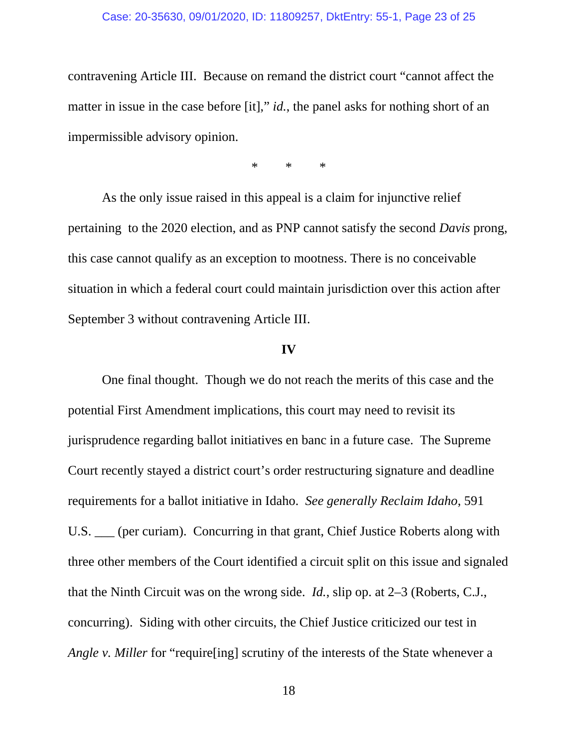contravening Article III. Because on remand the district court "cannot affect the matter in issue in the case before [it]," *id.*, the panel asks for nothing short of an impermissible advisory opinion.

\* \* \*

As the only issue raised in this appeal is a claim for injunctive relief pertaining to the 2020 election, and as PNP cannot satisfy the second *Davis* prong, this case cannot qualify as an exception to mootness. There is no conceivable situation in which a federal court could maintain jurisdiction over this action after September 3 without contravening Article III.

### **IV**

 One final thought. Though we do not reach the merits of this case and the potential First Amendment implications, this court may need to revisit its jurisprudence regarding ballot initiatives en banc in a future case. The Supreme Court recently stayed a district court's order restructuring signature and deadline requirements for a ballot initiative in Idaho. *See generally Reclaim Idaho*, 591 U.S. \_\_\_ (per curiam). Concurring in that grant, Chief Justice Roberts along with three other members of the Court identified a circuit split on this issue and signaled that the Ninth Circuit was on the wrong side. *Id.*, slip op. at 2–3 (Roberts, C.J., concurring). Siding with other circuits, the Chief Justice criticized our test in *Angle v. Miller* for "require<sup>[ing]</sup> scrutiny of the interests of the State whenever a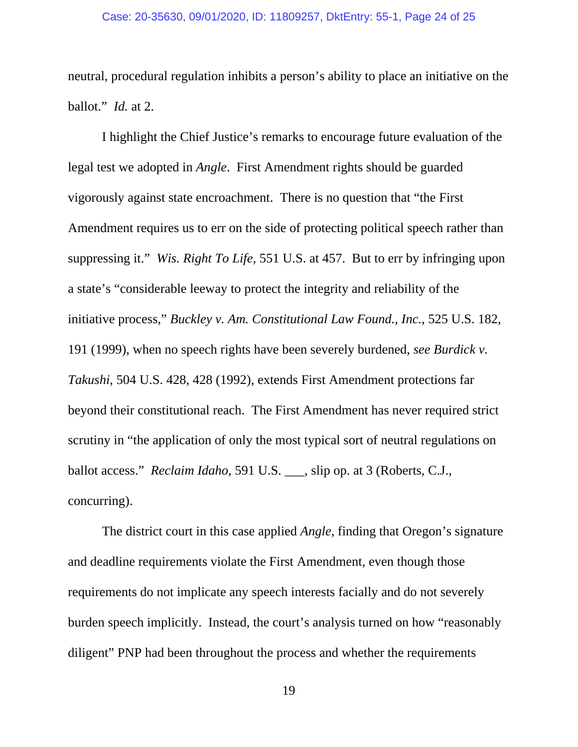neutral, procedural regulation inhibits a person's ability to place an initiative on the ballot." *Id.* at 2.

I highlight the Chief Justice's remarks to encourage future evaluation of the legal test we adopted in *Angle*. First Amendment rights should be guarded vigorously against state encroachment. There is no question that "the First Amendment requires us to err on the side of protecting political speech rather than suppressing it." *Wis. Right To Life*, 551 U.S. at 457. But to err by infringing upon a state's "considerable leeway to protect the integrity and reliability of the initiative process," *Buckley v. Am. Constitutional Law Found., Inc.*, 525 U.S. 182, 191 (1999), when no speech rights have been severely burdened, *see Burdick v. Takushi*, 504 U.S. 428, 428 (1992), extends First Amendment protections far beyond their constitutional reach. The First Amendment has never required strict scrutiny in "the application of only the most typical sort of neutral regulations on ballot access." *Reclaim Idaho*, 591 U.S. \_\_\_, slip op. at 3 (Roberts, C.J., concurring).

The district court in this case applied *Angle*, finding that Oregon's signature and deadline requirements violate the First Amendment, even though those requirements do not implicate any speech interests facially and do not severely burden speech implicitly. Instead, the court's analysis turned on how "reasonably diligent" PNP had been throughout the process and whether the requirements

19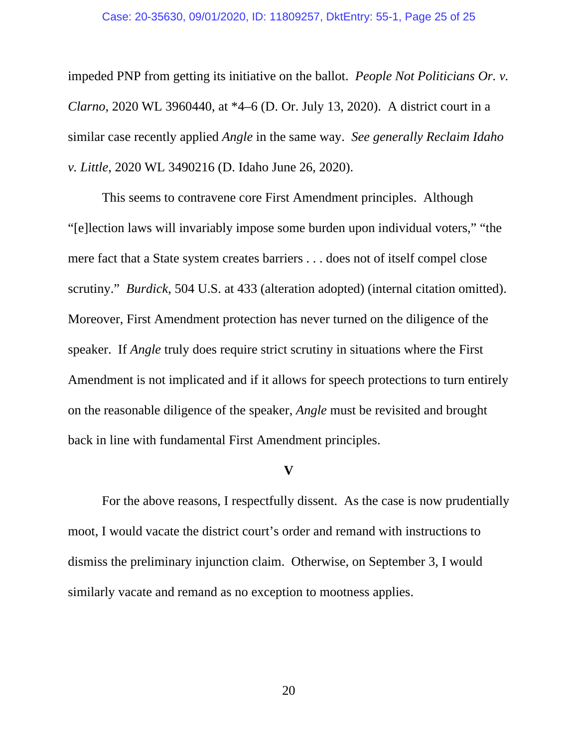#### Case: 20-35630, 09/01/2020, ID: 11809257, DktEntry: 55-1, Page 25 of 25

impeded PNP from getting its initiative on the ballot. *People Not Politicians Or. v. Clarno*, 2020 WL 3960440, at \*4–6 (D. Or. July 13, 2020). A district court in a similar case recently applied *Angle* in the same way. *See generally Reclaim Idaho v. Little*, 2020 WL 3490216 (D. Idaho June 26, 2020).

This seems to contravene core First Amendment principles. Although "[e]lection laws will invariably impose some burden upon individual voters," "the mere fact that a State system creates barriers . . . does not of itself compel close scrutiny." *Burdick*, 504 U.S. at 433 (alteration adopted) (internal citation omitted). Moreover, First Amendment protection has never turned on the diligence of the speaker. If *Angle* truly does require strict scrutiny in situations where the First Amendment is not implicated and if it allows for speech protections to turn entirely on the reasonable diligence of the speaker, *Angle* must be revisited and brought back in line with fundamental First Amendment principles.

### **V**

For the above reasons, I respectfully dissent. As the case is now prudentially moot, I would vacate the district court's order and remand with instructions to dismiss the preliminary injunction claim. Otherwise, on September 3, I would similarly vacate and remand as no exception to mootness applies.

20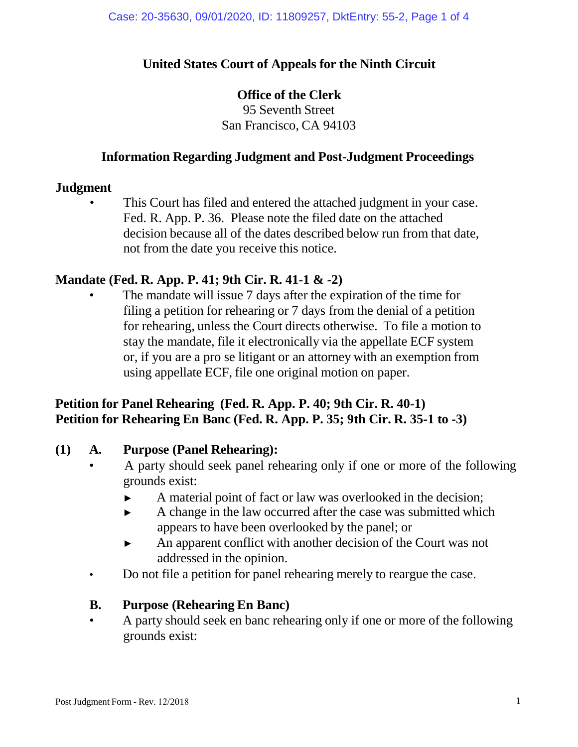## **United States Court of Appeals for the Ninth Circuit**

## **Office of the Clerk**

95 Seventh Street San Francisco, CA 94103

## **Information Regarding Judgment and Post-Judgment Proceedings**

### **Judgment**

This Court has filed and entered the attached judgment in your case. Fed. R. App. P. 36. Please note the filed date on the attached decision because all of the dates described below run from that date, not from the date you receive this notice.

## **Mandate (Fed. R. App. P. 41; 9th Cir. R. 41-1 & -2)**

The mandate will issue 7 days after the expiration of the time for filing a petition for rehearing or 7 days from the denial of a petition for rehearing, unless the Court directs otherwise. To file a motion to stay the mandate, file it electronically via the appellate ECF system or, if you are a pro se litigant or an attorney with an exemption from using appellate ECF, file one original motion on paper.

## **Petition for Panel Rehearing (Fed. R. App. P. 40; 9th Cir. R. 40-1) Petition for Rehearing En Banc (Fed. R. App. P. 35; 9th Cir. R. 35-1 to -3)**

## **(1) A. Purpose (Panel Rehearing):**

- A party should seek panel rehearing only if one or more of the following grounds exist:
	- ► A material point of fact or law was overlooked in the decision;
	- ► A change in the law occurred after the case was submitted which appears to have been overlooked by the panel; or
	- ► An apparent conflict with another decision of the Court was not addressed in the opinion.
- Do not file a petition for panel rehearing merely to reargue the case.

## **B. Purpose (Rehearing En Banc)**

• A party should seek en banc rehearing only if one or more of the following grounds exist: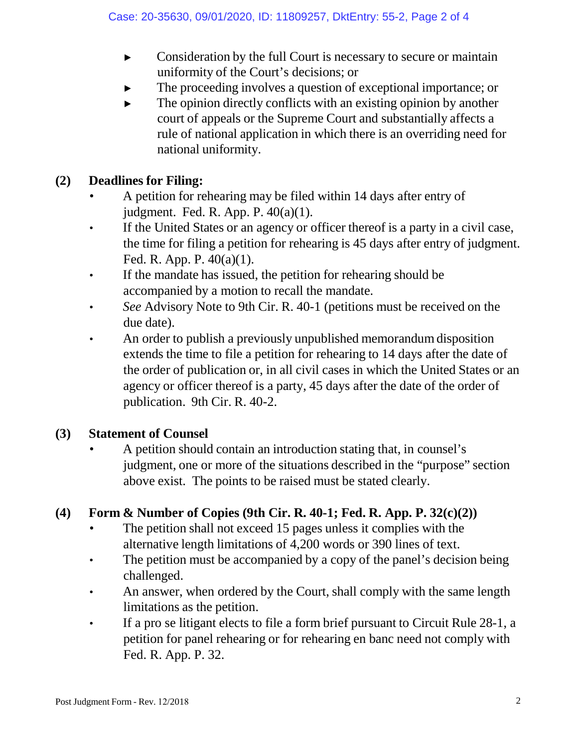- ► Consideration by the full Court is necessary to secure or maintain uniformity of the Court's decisions; or
- The proceeding involves a question of exceptional importance; or
- $\blacktriangleright$  The opinion directly conflicts with an existing opinion by another court of appeals or the Supreme Court and substantially affects a rule of national application in which there is an overriding need for national uniformity.

## **(2) Deadlines for Filing:**

- A petition for rehearing may be filed within 14 days after entry of judgment. Fed. R. App. P. 40(a)(1).
- If the United States or an agency or officer thereof is a party in a civil case, the time for filing a petition for rehearing is 45 days after entry of judgment. Fed. R. App. P. 40(a)(1).
- If the mandate has issued, the petition for rehearing should be accompanied by a motion to recall the mandate.
- *See* Advisory Note to 9th Cir. R. 40-1 (petitions must be received on the due date).
- An order to publish a previously unpublished memorandum disposition extends the time to file a petition for rehearing to 14 days after the date of the order of publication or, in all civil cases in which the United States or an agency or officer thereof is a party, 45 days after the date of the order of publication. 9th Cir. R. 40-2.

# **(3) Statement of Counsel**

• A petition should contain an introduction stating that, in counsel's judgment, one or more of the situations described in the "purpose" section above exist. The points to be raised must be stated clearly.

# **(4) Form & Number of Copies (9th Cir. R. 40-1; Fed. R. App. P. 32(c)(2))**

- The petition shall not exceed 15 pages unless it complies with the alternative length limitations of 4,200 words or 390 lines of text.
- The petition must be accompanied by a copy of the panel's decision being challenged.
- An answer, when ordered by the Court, shall comply with the same length limitations as the petition.
- If a pro se litigant elects to file a form brief pursuant to Circuit Rule 28-1, a petition for panel rehearing or for rehearing en banc need not comply with Fed. R. App. P. 32.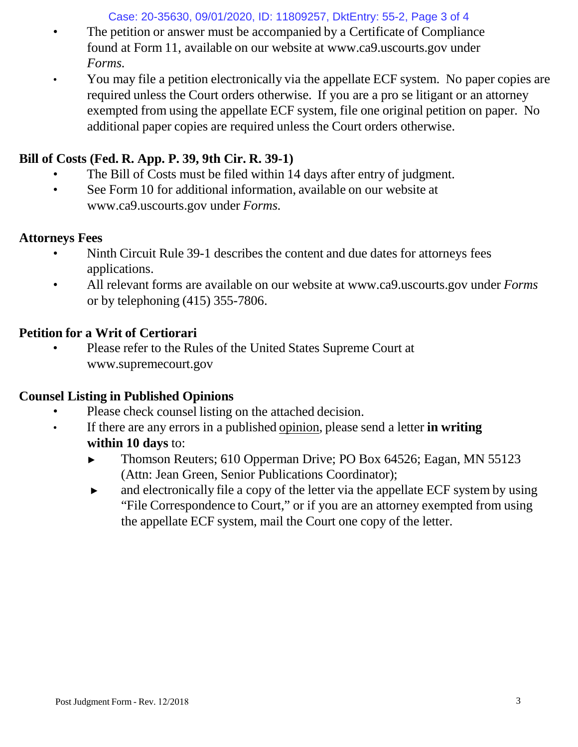Case: 20-35630, 09/01/2020, ID: 11809257, DktEntry: 55-2, Page 3 of 4

- The petition or answer must be accompanied by a Certificate of Compliance found at Form 11, available on our website [at www.ca9.uscourts.gov](http://www.ca9.uscourts.gov/) under *Forms.*
- You may file a petition electronically via the appellate ECF system. No paper copies are required unless the Court orders otherwise. If you are a pro se litigant or an attorney exempted from using the appellate ECF system, file one original petition on paper. No additional paper copies are required unless the Court orders otherwise.

# **Bill of Costs (Fed. R. App. P. 39, 9th Cir. R. 39-1)**

- The Bill of Costs must be filed within 14 days after entry of judgment.
- See Form 10 for addi[t](http://www.ca9.uscourts.gov/)ional information, available on our website at [www.ca9.uscourts.gov](http://www.ca9.uscourts.gov/) under *Forms.*

## **Attorneys Fees**

- Ninth Circuit Rule 39-1 describes the content and due dates for attorneys fees applications.
- All relevant forms are available on our website at [www.ca9.uscourts.gov](http://www.ca9.uscourts.gov/) under *Forms* or by telephoning (415) 355-7806.

# **Petition for a Writ of Certiorari**

• Please refer to the Rules of the United States Supreme Court a[t](http://www.supremecourt.gov/) [www.supremecourt.gov](http://www.supremecourt.gov/)

# **Counsel Listing in Published Opinions**

- Please check counsel listing on the attached decision.
- If there are any errors in a published opinion, please send a letter **in writing within 10 days** to:
	- ► Thomson Reuters; 610 Opperman Drive; PO Box 64526; Eagan, MN 55123 (Attn: Jean Green, Senior Publications Coordinator);
	- ► and electronically file a copy of the letter via the appellate ECF system by using "File Correspondence to Court," or if you are an attorney exempted from using the appellate ECF system, mail the Court one copy of the letter.